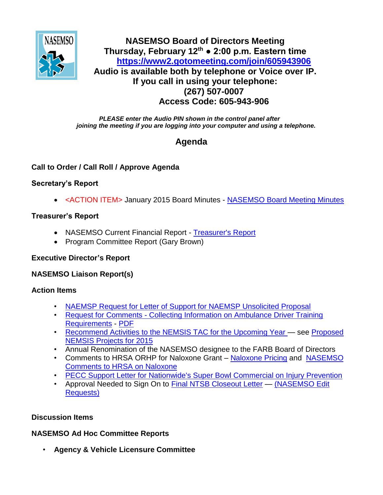

## **NASEMSO Board of Directors Meeting Thursday, February 12th ● 2:00 p.m. Eastern time <https://www2.gotomeeting.com/join/605943906> Audio is available both by telephone or Voice over IP. If you call in using your telephone: (267) 507-0007 Access Code: 605-943-906**

*PLEASE enter the Audio PIN shown in the control panel after joining the meeting if you are logging into your computer and using a telephone.*

# **Agenda**

## **Call to Order / Call Roll / Approve Agenda**

#### **Secretary's Report**

<ACTION ITEM> January 2015 Board Minutes - [NASEMSO Board Meeting Minutes](https://www.nasemso.org/Members/Board/documents/NASEMSO-Board-Minutes-08Jan2015.pdf)

#### **Treasurer's Report**

- NASEMSO Current Financial Report [Treasurer's Report](https://www.nasemso.org/Members/Board/documents/Treasurers-Report-31Jan2015.xls)
- Program Committee Report (Gary Brown)

#### **Executive Director's Report**

#### **NASEMSO Liaison Report(s)**

#### **Action Items**

- [NAEMSP Request for Letter of Support for NAEMSP Unsolicited Proposal](https://www.nasemso.org/Members/Board/documents/NAEMSP-EMS-MDWA-Proposal-01Jan2015.pdf)
- Request for Comments [Collecting Information on Ambulance Driver Training](https://www.federalregister.gov/articles/2015/01/21/2015-00807/reports-forms-and-record-keeping-requirements)  [Requirements](https://www.federalregister.gov/articles/2015/01/21/2015-00807/reports-forms-and-record-keeping-requirements) - [PDF](https://www.nasemso.org/Members/Board/documents/Reports-Forms-and-Record-Keeping-Requirements-Federal-Register-06Feb2015.pdf)
- [Recommend Activities to the NEMSIS TAC for the Upcoming Year](https://www.nasemso.org/Members/Board/documents/Recommend-Activities-to-the-NEMSIS-TAC-for-the-Upcoming-Year.pdf) see [Proposed](https://www.nasemso.org/Members/Board/documents/Proposed-NEMSIS-Projects-for-2015.pdf)  [NEMSIS Projects for 2015](https://www.nasemso.org/Members/Board/documents/Proposed-NEMSIS-Projects-for-2015.pdf)
- Annual Renomination of the NASEMSO designee to the FARB Board of Directors
- Comments to HRSA ORHP for Naloxone Grant [Naloxone Pricing](https://www.nasemso.org/Members/Board/documents/Naloxone-Pricing-30Jan2015.pdf) and NASEMSO [Comments to HRSA on Naloxone](https://www.nasemso.org/Members/Board/documents/NASEMSO-Comments-to-HRSA-Naloxone-30Jan2015.pdf)
- [PECC Support Letter for Nationwide's Super Bowl Commercial on Injury Prevention](https://www.nasemso.org/Members/Board/documents/PECC-Nationwide-Super-Bowl-Commercial-Support-Letter-04Feb2015.pdf)
- Approval Needed to Sign On to [Final NTSB Closeout Letter](https://www.nasemso.org/Members/Board/documents/Final-Reponse-Closeout-Request-H-09-78_21Jan2015.pdf) [\(NASEMSO Edit](https://www.nasemso.org/Members/Board/documents/NTSB-Draft-Closeout-Request-H-09-7-NASEMSOL-AASHTO-draft.pdf)  [Requests\)](https://www.nasemso.org/Members/Board/documents/NTSB-Draft-Closeout-Request-H-09-7-NASEMSOL-AASHTO-draft.pdf)

#### **Discussion Items**

#### **NASEMSO Ad Hoc Committee Reports**

• **Agency & Vehicle Licensure Committee**